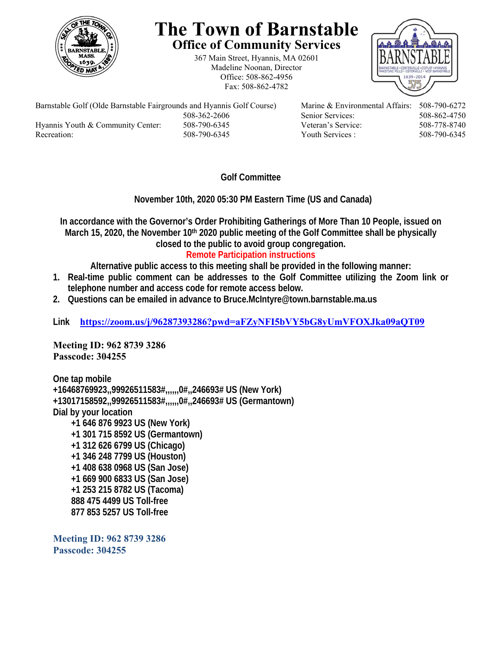

## **The Town of Barnstable Office of Community Services**

367 Main Street, Hyannis, MA 02601 Madeline Noonan, Director Office: 508-862-4956 Fax: 508-862-4782



Barnstable Golf (Olde Barnstable Fairgrounds and Hyannis Golf Course) Marine & Environmental Affairs: 508-790-6272 508-362-2606 Senior Services: 508-862-4750 Hyannis Youth & Community Center: 508-790-6345 Veteran's Service: 508-778-8740 Recreation: 508-790-6345 Youth Services : 508-790-6345 S08-790-6345

**Golf Committee** 

 **November 10th, 2020 05:30 PM Eastern Time (US and Canada)** 

**In accordance with the Governor's Order Prohibiting Gatherings of More Than 10 People, issued on**  March 15, 2020, the November 10<sup>th</sup> 2020 public meeting of the Golf Committee shall be physically **closed to the public to avoid group congregation.** 

## **Remote Participation instructions**

**Alternative public access to this meeting shall be provided in the following manner:** 

- **1. Real-time public comment can be addresses to the Golf Committee utilizing the Zoom link or telephone number and access code for remote access below.**
- **2. Questions can be emailed in advance to Bruce.McIntyre@town.barnstable.ma.us**

**Link https://zoom.us/j/96287393286?pwd=aFZyNFI5bVY5bG8yUmVFOXJka09aQT09**

**Meeting ID: 962 8739 3286 Passcode: 304255** 

**One tap mobile +16468769923,,99926511583#,,,,,,0#,,246693# US (New York) +13017158592,,99926511583#,,,,,,0#,,246693# US (Germantown) Dial by your location +1 646 876 9923 US (New York) +1 301 715 8592 US (Germantown) +1 312 626 6799 US (Chicago) +1 346 248 7799 US (Houston) +1 408 638 0968 US (San Jose) +1 669 900 6833 US (San Jose) +1 253 215 8782 US (Tacoma) 888 475 4499 US Toll-free 877 853 5257 US Toll-free** 

**Meeting ID: 962 8739 3286 Passcode: 304255**